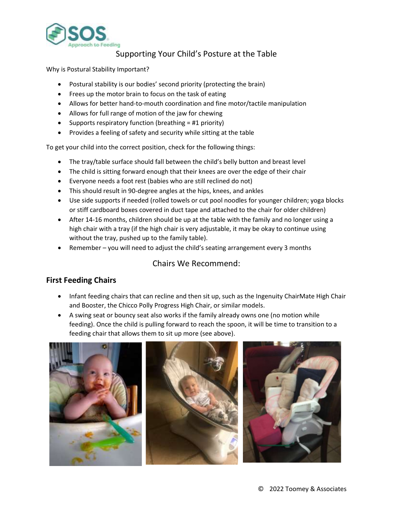

## Supporting Your Child's Posture at the Table

Why is Postural Stability Important?

- Postural stability is our bodies' second priority (protecting the brain)
- Frees up the motor brain to focus on the task of eating
- Allows for better hand-to-mouth coordination and fine motor/tactile manipulation
- Allows for full range of motion of the jaw for chewing
- Supports respiratory function (breathing = #1 priority)
- Provides a feeling of safety and security while sitting at the table

To get your child into the correct position, check for the following things:

- The tray/table surface should fall between the child's belly button and breast level
- The child is sitting forward enough that their knees are over the edge of their chair
- Everyone needs a foot rest (babies who are still reclined do not)
- This should result in 90-degree angles at the hips, knees, and ankles
- Use side supports if needed (rolled towels or cut pool noodles for younger children; yoga blocks or stiff cardboard boxes covered in duct tape and attached to the chair for older children)
- After 14-16 months, children should be up at the table with the family and no longer using a high chair with a tray (if the high chair is very adjustable, it may be okay to continue using without the tray, pushed up to the family table).
- Remember you will need to adjust the child's seating arrangement every 3 months

## Chairs We Recommend:

## **First Feeding Chairs**

- Infant feeding chairs that can recline and then sit up, such as the Ingenuity ChairMate High Chair and Booster, the Chicco Polly Progress High Chair, or similar models.
- A swing seat or bouncy seat also works if the family already owns one (no motion while feeding). Once the child is pulling forward to reach the spoon, it will be time to transition to a feeding chair that allows them to sit up more (see above).